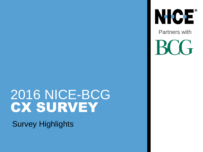## 2016 NICE-BCG **CX SURVEY**

Survey Highlights

NICE® Partners with **BOG**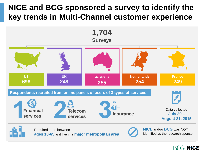#### **NICE and BCG sponsored a survey to identify the key trends in Multi-Channel customer experience**



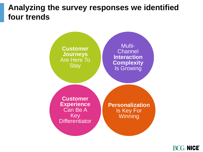#### **Analyzing the survey responses we identified four trends**



![](_page_2_Picture_2.jpeg)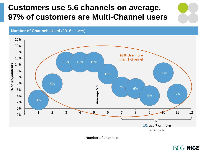### **Customers use 5.6 channels on average, 97% of customers are Multi-Channel users**

**Number of Channels Used** (2016 survey)

![](_page_3_Figure_2.jpeg)

**Number of channels**

![](_page_3_Picture_4.jpeg)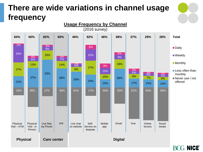### **There are wide variations in channel usage frequency**

![](_page_4_Figure_1.jpeg)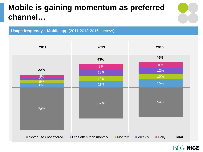### **Mobile is gaining momentum as preferred channel…**

![](_page_5_Figure_1.jpeg)

![](_page_5_Figure_2.jpeg)

#### BCG NICE®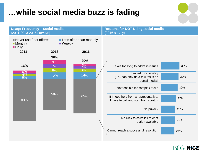### **…while social media buzz is fading**

| <b>Usage Frequency - Social media</b><br>(2011-2013-2016 surveys)                                                            |           |                   | <b>Reasons for NOT Using social media</b><br>$(2016$ survey)                       |     |  |
|------------------------------------------------------------------------------------------------------------------------------|-----------|-------------------|------------------------------------------------------------------------------------|-----|--|
| $\blacksquare$ Never use / not offered<br>Less often than monthly<br><b>Monthly</b><br>$\blacksquare$ Weekly<br><b>Daily</b> |           |                   |                                                                                    |     |  |
| 2011                                                                                                                         | 2013      | 2016              |                                                                                    |     |  |
| 16%                                                                                                                          | 36%<br>9% | 29%               |                                                                                    | 33% |  |
|                                                                                                                              | 7%<br>8%  | $\frac{3\%}{6\%}$ | Takes too long to address issues                                                   |     |  |
| 4%<br>3%<br>6%                                                                                                               | 12%       | 14%               | <b>Limited functionality</b><br>(i.e., can only do a few tasks on<br>social media) | 32% |  |
|                                                                                                                              |           |                   | Not feasible for complex tasks                                                     | 30% |  |
| 80%                                                                                                                          | 58%       | 65%               | If I need help from a representative,<br>I have to call and start from scratch     | 27% |  |
|                                                                                                                              |           |                   | No privacy                                                                         | 26% |  |
|                                                                                                                              |           |                   | No click to call/click to chat<br>option available                                 | 26% |  |
|                                                                                                                              |           |                   | Cannot reach a successful resolution                                               | 24% |  |

#### **BCG NICE®**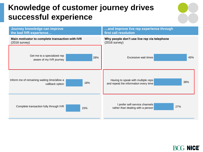### **Knowledge of customer journey drives successful experience**

![](_page_7_Figure_1.jpeg)

| Journey knowledge can improve                                 | and improve live rep experience through                                    |  |  |
|---------------------------------------------------------------|----------------------------------------------------------------------------|--|--|
| the bad IVR experience                                        | first call resolution                                                      |  |  |
| Main motivator to complete transaction with IVR               | Why people don't use live rep via telephone                                |  |  |
| $(2016$ survey)                                               | $(2016$ survey)                                                            |  |  |
| Get me to a specialized rep<br>28%<br>aware of my IVR journey | 45%<br>Excessive wait times                                                |  |  |
| Inform me of remaining waiting time/allow a                   | Having to speak with multiple reps                                         |  |  |
| 18%                                                           | 38%                                                                        |  |  |
| callback option                                               | and repeat the information every time                                      |  |  |
| Complete transaction fully through IVR<br>15%                 | I prefer self-service channels<br>27%<br>rather than dealing with a person |  |  |

![](_page_7_Picture_3.jpeg)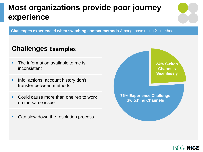### **Most organizations provide poor journey experience**

**Challenges experienced when switching contact methods** Among those using 2+ methods

#### **Challenges Examples**

- The information available to me is inconsistent
- **Info, actions, account history don't** transfer between methods
- Could cause more than one rep to work on the same issue
- Can slow down the resolution process

![](_page_8_Figure_7.jpeg)

![](_page_8_Picture_8.jpeg)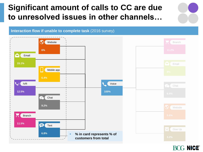### **Significant amount of calls to CC are due to unresolved issues in other channels…**

![](_page_9_Figure_1.jpeg)

#### **Interaction flow if unable to complete task** (2016 survey)

#### BOG NICE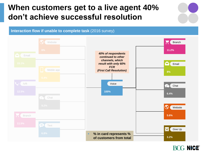#### **When customers get to a live agent 40% don't achieve successful resolution**

**Interaction flow if unable to complete task** (2016 survey)

![](_page_10_Figure_2.jpeg)

#### BOG NICE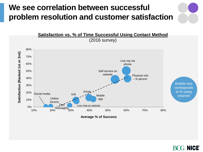### **We see correlation between successful problem resolution and customer satisfaction**

![](_page_11_Figure_1.jpeg)

**NICE**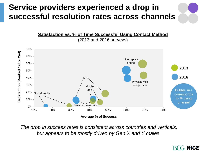## **Service providers experienced a drop in successful resolution rates across channels**

![](_page_12_Figure_1.jpeg)

*The drop in success rates is consistent across countries and verticals, but appears to be mostly driven by Gen X and Y males.*

#### **NICE**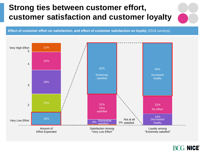### **Strong ties between customer effort, customer satisfaction and customer loyalty**

**Effect of customer effort on satisfaction, and effect of customer satisfaction on loyalty** (2016 surveys)

![](_page_13_Figure_2.jpeg)

![](_page_13_Picture_3.jpeg)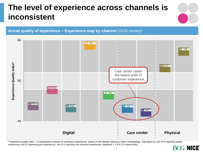### **The level of experience across channels is inconsistent**

![](_page_14_Figure_1.jpeg)

![](_page_14_Figure_2.jpeg)

![](_page_14_Figure_3.jpeg)

\* Experience quality index – a comparative measure of customers experiences, based on BAI (Brand Advocacy Index) methodology. Calculated as sum of % reporting perfect experiences and % reporting good experiences, net of % reporting sub-standard experiences (weighted 1, 0.5 & 0.5 respectively)

![](_page_14_Picture_5.jpeg)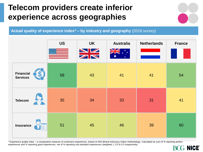### **Telecom providers create inferior experience across geographies**

![](_page_15_Figure_1.jpeg)

**Actual quality of experience index\* – by industry and geography** (2016 survey)

|                                     | <b>US</b> | <b>UK</b><br>NZ<br>ZN | <b>Australia</b><br>$\blacksquare$ | <b>Netherlands</b> | <b>France</b> |
|-------------------------------------|-----------|-----------------------|------------------------------------|--------------------|---------------|
| <b>Financial</b><br><b>Services</b> | 58        | 43                    | 41                                 | 41                 | 54            |
| <b>Telecom</b>                      | 35        | 34                    | 33                                 | 31                 | 41            |
| <b>Insurance</b>                    | 51        | 45                    | 46                                 | 39                 | 60            |

\* Experience quality index – a comparative measure of customers experiences, based on BAI (Brand Advocacy Index) methodology. Calculated as sum of % reporting perfect experiences and % reporting good experiences, net of % reporting sub-standard experiences (weighted 1, 0.5 & 0.5 respectively)

![](_page_15_Picture_5.jpeg)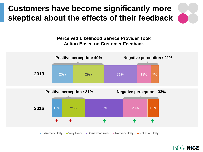## **Customers have become significantly more skeptical about the effects of their feedback**

#### **Perceived Likelihood Service Provider Took Action Based on Customer Feedback**

![](_page_16_Figure_2.jpeg)

![](_page_16_Picture_3.jpeg)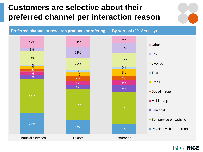### **Customers are selective about their preferred channel per interaction reason**

![](_page_17_Figure_1.jpeg)

![](_page_17_Figure_2.jpeg)

#### († **NICE**) K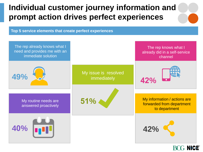### **Individual customer journey information and prompt action drives perfect experiences**

**Top 5 service elements that create perfect experiences**

![](_page_18_Figure_2.jpeg)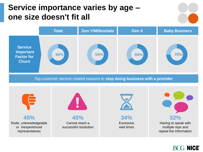#### **Service importance varies by age – one size doesn't fit all**

![](_page_19_Figure_1.jpeg)

![](_page_19_Figure_2.jpeg)

Top customer service-related reasons to **stop doing business with a provider**

![](_page_19_Figure_4.jpeg)

#### BOG NICE